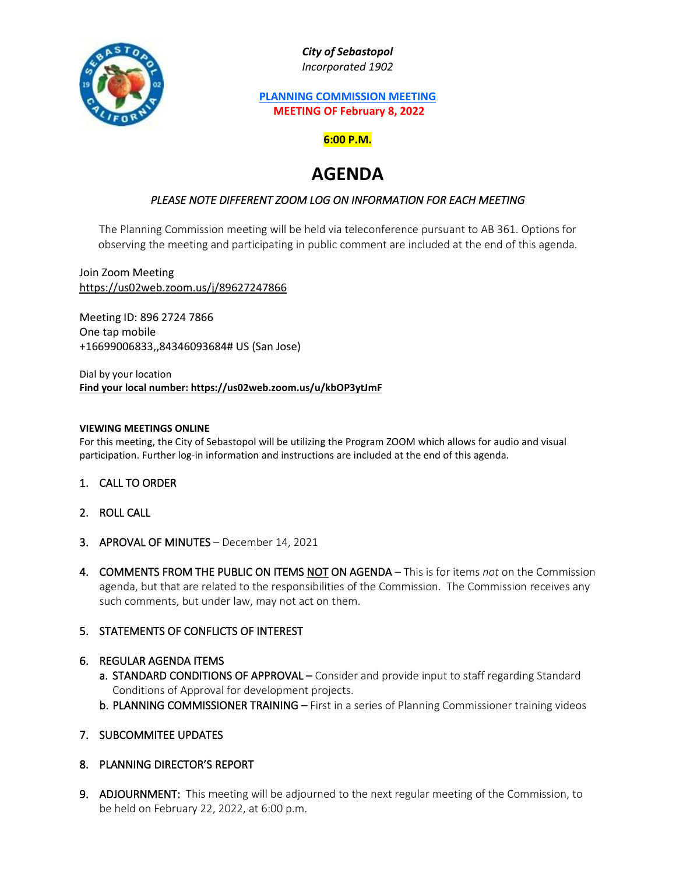

*City of Sebastopol Incorporated 1902*

## **PLANNING COMMISSION MEETING MEETING OF February 8, 2022**

# **6:00 P.M.**

# **AGENDA**

# *PLEASE NOTE DIFFERENT ZOOM LOG ON INFORMATION FOR EACH MEETING*

The Planning Commission meeting will be held via teleconference pursuant to AB 361. Options for observing the meeting and participating in public comment are included at the end of this agenda.

Join Zoom Meeting <https://us02web.zoom.us/j/89627247866>

Meeting ID: 896 2724 7866 One tap mobile +16699006833,,84346093684# US (San Jose)

Dial by your location **Find your local number: https://us02web.zoom.us/u/kbOP3ytJmF**

## **VIEWING MEETINGS ONLINE**

For this meeting, the City of Sebastopol will be utilizing the Program ZOOM which allows for audio and visual participation. Further log-in information and instructions are included at the end of this agenda.

- 1. CALL TO ORDER
- 2. ROLL CALL
- 3. APROVAL OF MINUTES December 14, 2021
- 4. COMMENTS FROM THE PUBLIC ON ITEMS NOT ON AGENDA This is for items *not* on the Commission agenda, but that are related to the responsibilities of the Commission. The Commission receives any such comments, but under law, may not act on them.

# 5. STATEMENTS OF CONFLICTS OF INTEREST

## 6. REGULAR AGENDA ITEMS

- a. STANDARD CONDITIONS OF APPROVAL Consider and provide input to staff regarding Standard Conditions of Approval for development projects.
- b. PLANNING COMMISSIONER TRAINING First in a series of Planning Commissioner training videos

## 7. SUBCOMMITEE UPDATES

## 8. PLANNING DIRECTOR'S REPORT

9. ADJOURNMENT: This meeting will be adjourned to the next regular meeting of the Commission, to be held on February 22, 2022, at 6:00 p.m.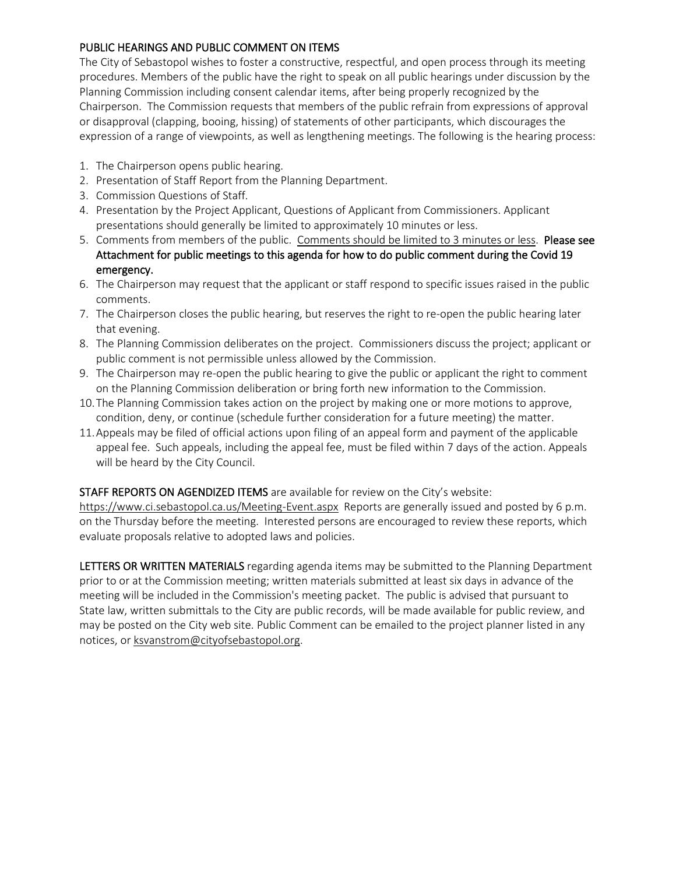# PUBLIC HEARINGS AND PUBLIC COMMENT ON ITEMS

The City of Sebastopol wishes to foster a constructive, respectful, and open process through its meeting procedures. Members of the public have the right to speak on all public hearings under discussion by the Planning Commission including consent calendar items, after being properly recognized by the Chairperson. The Commission requests that members of the public refrain from expressions of approval or disapproval (clapping, booing, hissing) of statements of other participants, which discourages the expression of a range of viewpoints, as well as lengthening meetings. The following is the hearing process:

- 1. The Chairperson opens public hearing.
- 2. Presentation of Staff Report from the Planning Department.
- 3. Commission Questions of Staff.
- 4. Presentation by the Project Applicant, Questions of Applicant from Commissioners. Applicant presentations should generally be limited to approximately 10 minutes or less.
- 5. Comments from members of the public. Comments should be limited to 3 minutes or less. Please see Attachment for public meetings to this agenda for how to do public comment during the Covid 19 emergency.
- 6. The Chairperson may request that the applicant or staff respond to specific issues raised in the public comments.
- 7. The Chairperson closes the public hearing, but reserves the right to re-open the public hearing later that evening.
- 8. The Planning Commission deliberates on the project. Commissioners discuss the project; applicant or public comment is not permissible unless allowed by the Commission.
- 9. The Chairperson may re-open the public hearing to give the public or applicant the right to comment on the Planning Commission deliberation or bring forth new information to the Commission.
- 10.The Planning Commission takes action on the project by making one or more motions to approve, condition, deny, or continue (schedule further consideration for a future meeting) the matter.
- 11.Appeals may be filed of official actions upon filing of an appeal form and payment of the applicable appeal fee. Such appeals, including the appeal fee, must be filed within 7 days of the action. Appeals will be heard by the City Council.

# STAFF REPORTS ON AGENDIZED ITEMS are available for review on the City's website:

<https://www.ci.sebastopol.ca.us/Meeting-Event.aspx> Reports are generally issued and posted by 6 p.m. on the Thursday before the meeting. Interested persons are encouraged to review these reports, which evaluate proposals relative to adopted laws and policies.

LETTERS OR WRITTEN MATERIALS regarding agenda items may be submitted to the Planning Department prior to or at the Commission meeting; written materials submitted at least six days in advance of the meeting will be included in the Commission's meeting packet. The public is advised that pursuant to State law, written submittals to the City are public records, will be made available for public review, and may be posted on the City web site. Public Comment can be emailed to the project planner listed in any notices, or [ksvanstrom@cityofsebastopol.org.](mailto:ksvanstrom@cityofsebastopol.org)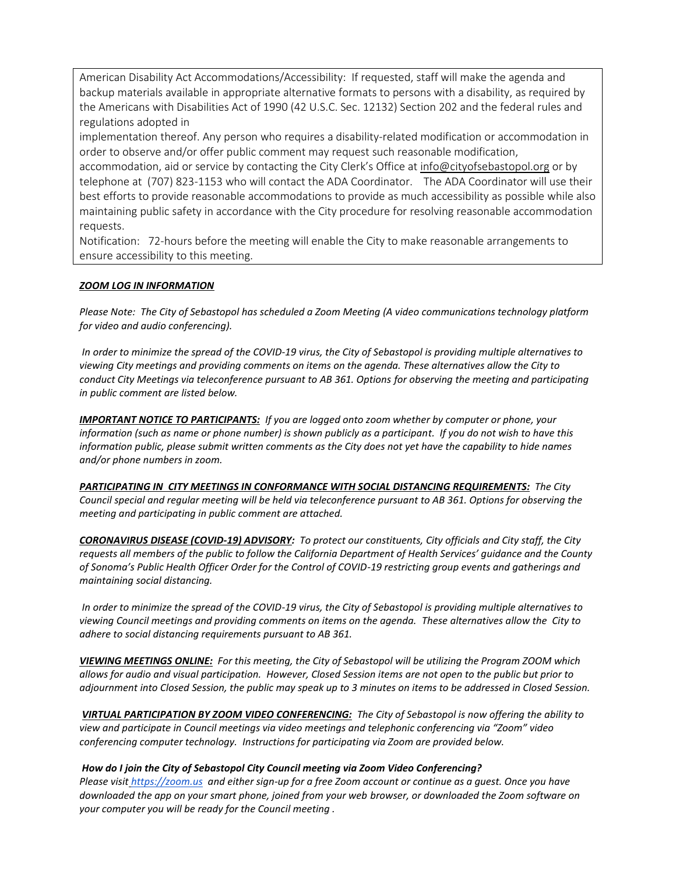American Disability Act Accommodations/Accessibility: If requested, staff will make the agenda and backup materials available in appropriate alternative formats to persons with a disability, as required by the Americans with Disabilities Act of 1990 (42 U.S.C. Sec. 12132) Section 202 and the federal rules and regulations adopted in

implementation thereof. Any person who requires a disability-related modification or accommodation in order to observe and/or offer public comment may request such reasonable modification,

accommodation, aid or service by contacting the City Clerk's Office at [info@cityofsebastopol.org](mailto:info@cityofsebastopol.org) or by telephone at (707) 823-1153 who will contact the ADA Coordinator. The ADA Coordinator will use their best efforts to provide reasonable accommodations to provide as much accessibility as possible while also maintaining public safety in accordance with the City procedure for resolving reasonable accommodation requests.

Notification: 72-hours before the meeting will enable the City to make reasonable arrangements to ensure accessibility to this meeting.

#### *ZOOM LOG IN INFORMATION*

*Please Note: The City of Sebastopol has scheduled a Zoom Meeting (A video communications technology platform for video and audio conferencing).*

*In order to minimize the spread of the COVID-19 virus, the City of Sebastopol is providing multiple alternatives to viewing City meetings and providing comments on items on the agenda. These alternatives allow the City to conduct City Meetings via teleconference pursuant to AB 361. Options for observing the meeting and participating in public comment are listed below.*

*IMPORTANT NOTICE TO PARTICIPANTS: If you are logged onto zoom whether by computer or phone, your information (such as name or phone number) is shown publicly as a participant. If you do not wish to have this information public, please submit written comments as the City does not yet have the capability to hide names and/or phone numbers in zoom.*

*PARTICIPATING IN CITY MEETINGS IN CONFORMANCE WITH SOCIAL DISTANCING REQUIREMENTS: The City Council special and regular meeting will be held via teleconference pursuant to AB 361. Options for observing the meeting and participating in public comment are attached.*

*CORONAVIRUS DISEASE (COVID-19) ADVISORY: To protect our constituents, City officials and City staff, the City requests all members of the public to follow the California Department of Health Services' guidance and the County of Sonoma's Public Health Officer Order for the Control of COVID-19 restricting group events and gatherings and maintaining social distancing.*

*In order to minimize the spread of the COVID-19 virus, the City of Sebastopol is providing multiple alternatives to viewing Council meetings and providing comments on items on the agenda. These alternatives allow the City to adhere to social distancing requirements pursuant to AB 361.*

*VIEWING MEETINGS ONLINE: For this meeting, the City of Sebastopol will be utilizing the Program ZOOM which allows for audio and visual participation. However, Closed Session items are not open to the public but prior to adjournment into Closed Session, the public may speak up to 3 minutes on items to be addressed in Closed Session.*

*VIRTUAL PARTICIPATION BY ZOOM VIDEO CONFERENCING: The City of Sebastopol is now offering the ability to view and participate in Council meetings via video meetings and telephonic conferencing via "Zoom" video conferencing computer technology. Instructions for participating via Zoom are provided below.*

#### *How do I join the City of Sebastopol City Council meeting via Zoom Video Conferencing?*

*Please visit [https://zoom.us](https://zoom.us/) and either sign-up for a free Zoom account or continue as a guest. Once you have downloaded the app on your smart phone, joined from your web browser, or downloaded the Zoom software on your computer you will be ready for the Council meeting .*